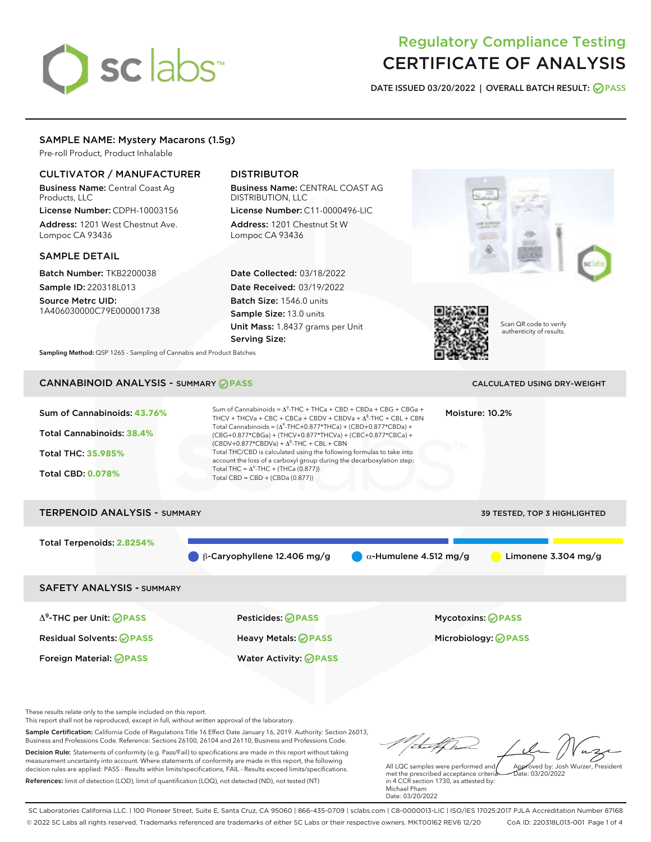# sclabs<sup>\*</sup>

# Regulatory Compliance Testing CERTIFICATE OF ANALYSIS

DATE ISSUED 03/20/2022 | OVERALL BATCH RESULT: @ PASS

# SAMPLE NAME: Mystery Macarons (1.5g)

Pre-roll Product, Product Inhalable

# CULTIVATOR / MANUFACTURER

Business Name: Central Coast Ag Products, LLC

License Number: CDPH-10003156 Address: 1201 West Chestnut Ave. Lompoc CA 93436

#### SAMPLE DETAIL

Batch Number: TKB2200038 Sample ID: 220318L013

Source Metrc UID: 1A406030000C79E000001738

# DISTRIBUTOR

Business Name: CENTRAL COAST AG DISTRIBUTION, LLC License Number: C11-0000496-LIC

Address: 1201 Chestnut St W Lompoc CA 93436

Date Collected: 03/18/2022 Date Received: 03/19/2022 Batch Size: 1546.0 units Sample Size: 13.0 units Unit Mass: 1.8437 grams per Unit Serving Size:





Scan QR code to verify authenticity of results.

Sampling Method: QSP 1265 - Sampling of Cannabis and Product Batches

# CANNABINOID ANALYSIS - SUMMARY **PASS** CALCULATED USING DRY-WEIGHT

| Sum of Cannabinoids: 43.76%<br>Total Cannabinoids: 38.4%<br><b>Total THC: 35.985%</b><br><b>Total CBD: 0.078%</b> | Sum of Cannabinoids = $A^9$ -THC + THCa + CBD + CBDa + CBG + CBGa +<br>THCV + THCVa + CBC + CBCa + CBDV + CBDVa + $\Delta^8$ -THC + CBL + CBN<br>Total Cannabinoids = $(\Delta^9$ -THC+0.877*THCa) + (CBD+0.877*CBDa) +<br>(CBG+0.877*CBGa) + (THCV+0.877*THCVa) + (CBC+0.877*CBCa) +<br>$(CBDV+0.877*CBDVa) + \Delta^8$ -THC + CBL + CBN<br>Total THC/CBD is calculated using the following formulas to take into<br>account the loss of a carboxyl group during the decarboxylation step:<br>Total THC = $\Delta^9$ -THC + (THCa (0.877))<br>Total CBD = CBD + (CBDa (0.877)) |                               | Moisture: 10.2%                                        |
|-------------------------------------------------------------------------------------------------------------------|---------------------------------------------------------------------------------------------------------------------------------------------------------------------------------------------------------------------------------------------------------------------------------------------------------------------------------------------------------------------------------------------------------------------------------------------------------------------------------------------------------------------------------------------------------------------------------|-------------------------------|--------------------------------------------------------|
| <b>TERPENOID ANALYSIS - SUMMARY</b>                                                                               |                                                                                                                                                                                                                                                                                                                                                                                                                                                                                                                                                                                 |                               | <b>39 TESTED, TOP 3 HIGHLIGHTED</b>                    |
| Total Terpenoids: 2.8254%                                                                                         | $\beta$ -Caryophyllene 12.406 mg/g                                                                                                                                                                                                                                                                                                                                                                                                                                                                                                                                              | $\alpha$ -Humulene 4.512 mg/g | Limonene $3.304$ mg/g                                  |
| <b>SAFETY ANALYSIS - SUMMARY</b>                                                                                  |                                                                                                                                                                                                                                                                                                                                                                                                                                                                                                                                                                                 |                               |                                                        |
| $\Delta^9$ -THC per Unit: $\oslash$ PASS<br><b>Residual Solvents: ⊘PASS</b>                                       | Pesticides: ⊘PASS<br>Heavy Metals: <b>⊘</b> PASS                                                                                                                                                                                                                                                                                                                                                                                                                                                                                                                                |                               | <b>Mycotoxins: ⊘PASS</b><br>Microbiology: <b>OPASS</b> |

These results relate only to the sample included on this report.

This report shall not be reproduced, except in full, without written approval of the laboratory.

Sample Certification: California Code of Regulations Title 16 Effect Date January 16, 2019. Authority: Section 26013, Business and Professions Code. Reference: Sections 26100, 26104 and 26110, Business and Professions Code. Decision Rule: Statements of conformity (e.g. Pass/Fail) to specifications are made in this report without taking measurement uncertainty into account. Where statements of conformity are made in this report, the following decision rules are applied: PASS - Results within limits/specifications, FAIL - Results exceed limits/specifications.

Foreign Material: **PASS** Water Activity: **PASS**

References: limit of detection (LOD), limit of quantification (LOQ), not detected (ND), not tested (NT)

Approved by: Josh Wurzer, President

 $\frac{1}{2}$ ate: 03/20/2022

All LQC samples were performed and met the prescribed acceptance criteria in 4 CCR section 1730, as attested by: Michael Pham Date: 03/20/2022

SC Laboratories California LLC. | 100 Pioneer Street, Suite E, Santa Cruz, CA 95060 | 866-435-0709 | sclabs.com | C8-0000013-LIC | ISO/IES 17025:2017 PJLA Accreditation Number 87168 © 2022 SC Labs all rights reserved. Trademarks referenced are trademarks of either SC Labs or their respective owners. MKT00162 REV6 12/20 CoA ID: 220318L013-001 Page 1 of 4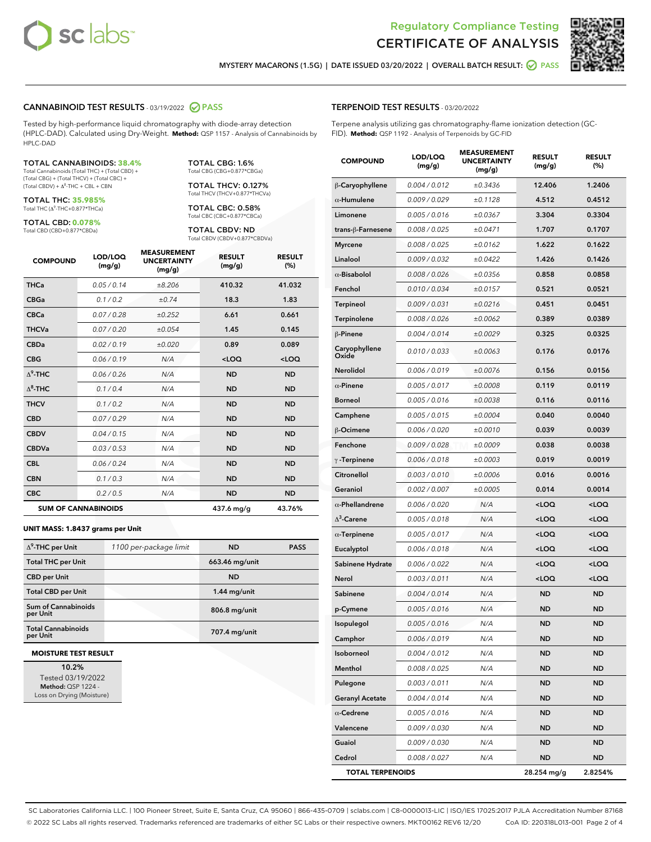



MYSTERY MACARONS (1.5G) | DATE ISSUED 03/20/2022 | OVERALL BATCH RESULT:  $\bigcirc$  PASS

#### CANNABINOID TEST RESULTS - 03/19/2022 2 PASS

Tested by high-performance liquid chromatography with diode-array detection (HPLC-DAD). Calculated using Dry-Weight. **Method:** QSP 1157 - Analysis of Cannabinoids by HPLC-DAD

#### TOTAL CANNABINOIDS: **38.4%**

Total Cannabinoids (Total THC) + (Total CBD) + (Total CBG) + (Total THCV) + (Total CBC) +  $(Total$  CBDV) +  $\Delta$ <sup>8</sup>-THC + CBL + CBN

TOTAL THC: **35.985%** Total THC (Δ<sup>9</sup> -THC+0.877\*THCa)

TOTAL CBD: **0.078%**

Total CBD (CBD+0.877\*CBDa)

TOTAL CBG: 1.6% Total CBG (CBG+0.877\*CBGa)

TOTAL THCV: 0.127% Total THCV (THCV+0.877\*THCVa)

TOTAL CBC: 0.58% Total CBC (CBC+0.877\*CBCa)

TOTAL CBDV: ND Total CBDV (CBDV+0.877\*CBDVa)

| <b>COMPOUND</b>  | LOD/LOQ<br>(mg/g)          | <b>MEASUREMENT</b><br><b>UNCERTAINTY</b><br>(mg/g) | <b>RESULT</b><br>(mg/g) | <b>RESULT</b><br>(%) |
|------------------|----------------------------|----------------------------------------------------|-------------------------|----------------------|
| <b>THCa</b>      | 0.05/0.14                  | ±8.206                                             | 410.32                  | 41.032               |
| <b>CBGa</b>      | 0.1/0.2                    | ±0.74                                              | 18.3                    | 1.83                 |
| <b>CBCa</b>      | 0.07/0.28                  | ±0.252                                             | 6.61                    | 0.661                |
| <b>THCVa</b>     | 0.07 / 0.20                | ±0.054                                             | 1.45                    | 0.145                |
| <b>CBDa</b>      | 0.02/0.19                  | ±0.020                                             | 0.89                    | 0.089                |
| <b>CBG</b>       | 0.06/0.19                  | N/A                                                | $<$ LOQ                 | $<$ LOQ              |
| $\Lambda^9$ -THC | 0.06 / 0.26                | N/A                                                | <b>ND</b>               | <b>ND</b>            |
| $\Delta^8$ -THC  | 0.1/0.4                    | N/A                                                | <b>ND</b>               | <b>ND</b>            |
| <b>THCV</b>      | 0.1/0.2                    | N/A                                                | <b>ND</b>               | <b>ND</b>            |
| <b>CBD</b>       | 0.07/0.29                  | N/A                                                | <b>ND</b>               | <b>ND</b>            |
| <b>CBDV</b>      | 0.04 / 0.15                | N/A                                                | <b>ND</b>               | <b>ND</b>            |
| <b>CBDVa</b>     | 0.03 / 0.53                | N/A                                                | <b>ND</b>               | <b>ND</b>            |
| <b>CBL</b>       | 0.06 / 0.24                | N/A                                                | <b>ND</b>               | <b>ND</b>            |
| <b>CBN</b>       | 0.1/0.3                    | N/A                                                | <b>ND</b>               | <b>ND</b>            |
| <b>CBC</b>       | 0.2 / 0.5                  | N/A                                                | <b>ND</b>               | <b>ND</b>            |
|                  | <b>SUM OF CANNABINOIDS</b> |                                                    | 437.6 mg/g              | 43.76%               |

#### **UNIT MASS: 1.8437 grams per Unit**

| $\Delta^9$ -THC per Unit               | 1100 per-package limit | <b>ND</b>      | <b>PASS</b> |
|----------------------------------------|------------------------|----------------|-------------|
| <b>Total THC per Unit</b>              |                        | 663.46 mg/unit |             |
| <b>CBD per Unit</b>                    |                        | <b>ND</b>      |             |
| <b>Total CBD per Unit</b>              |                        | $1.44$ mg/unit |             |
| <b>Sum of Cannabinoids</b><br>per Unit |                        | 806.8 mg/unit  |             |
| <b>Total Cannabinoids</b><br>per Unit  |                        | 707.4 mg/unit  |             |

#### **MOISTURE TEST RESULT**

10.2% Tested 03/19/2022 Method: QSP 1224 - Loss on Drying (Moisture)

#### TERPENOID TEST RESULTS - 03/20/2022

Terpene analysis utilizing gas chromatography-flame ionization detection (GC-FID). **Method:** QSP 1192 - Analysis of Terpenoids by GC-FID

| <b>COMPOUND</b>         | LOD/LOQ<br>(mg/g) | <b>MEASUREMENT</b><br><b>UNCERTAINTY</b><br>(mg/g) | <b>RESULT</b><br>(mg/g)                         | <b>RESULT</b><br>(%) |
|-------------------------|-------------------|----------------------------------------------------|-------------------------------------------------|----------------------|
| β-Caryophyllene         | 0.004 / 0.012     | ±0.3436                                            | 12.406                                          | 1.2406               |
| $\alpha$ -Humulene      | 0.009/0.029       | ±0.1128                                            | 4.512                                           | 0.4512               |
| Limonene                | 0.005 / 0.016     | ±0.0367                                            | 3.304                                           | 0.3304               |
| trans-ß-Farnesene       | 0.008 / 0.025     | ±0.0471                                            | 1.707                                           | 0.1707               |
| <b>Myrcene</b>          | 0.008 / 0.025     | ±0.0162                                            | 1.622                                           | 0.1622               |
| Linalool                | 0.009/0.032       | ±0.0422                                            | 1.426                                           | 0.1426               |
| $\alpha$ -Bisabolol     | 0.008 / 0.026     | ±0.0356                                            | 0.858                                           | 0.0858               |
| Fenchol                 | 0.010 / 0.034     | ±0.0157                                            | 0.521                                           | 0.0521               |
| <b>Terpineol</b>        | 0.009 / 0.031     | ±0.0216                                            | 0.451                                           | 0.0451               |
| Terpinolene             | 0.008 / 0.026     | ±0.0062                                            | 0.389                                           | 0.0389               |
| $\beta$ -Pinene         | 0.004 / 0.014     | ±0.0029                                            | 0.325                                           | 0.0325               |
| Caryophyllene<br>Oxide  | 0.010 / 0.033     | ±0.0063                                            | 0.176                                           | 0.0176               |
| <b>Nerolidol</b>        | 0.006 / 0.019     | ±0.0076                                            | 0.156                                           | 0.0156               |
| $\alpha$ -Pinene        | 0.005 / 0.017     | ±0.0008                                            | 0.119                                           | 0.0119               |
| <b>Borneol</b>          | 0.005 / 0.016     | ±0.0038                                            | 0.116                                           | 0.0116               |
| Camphene                | 0.005 / 0.015     | ±0.0004                                            | 0.040                                           | 0.0040               |
| β-Ocimene               | 0.006 / 0.020     | ±0.0010                                            | 0.039                                           | 0.0039               |
| Fenchone                | 0.009 / 0.028     | ±0.0009                                            | 0.038                                           | 0.0038               |
| $\gamma$ -Terpinene     | 0.006 / 0.018     | ±0.0003                                            | 0.019                                           | 0.0019               |
| Citronellol             | 0.003 / 0.010     | ±0.0006                                            | 0.016                                           | 0.0016               |
| Geraniol                | 0.002 / 0.007     | ±0.0005                                            | 0.014                                           | 0.0014               |
| $\alpha$ -Phellandrene  | 0.006 / 0.020     | N/A                                                | <loq< th=""><th><loq< th=""></loq<></th></loq<> | <loq< th=""></loq<>  |
| $\Delta^3$ -Carene      | 0.005 / 0.018     | N/A                                                | <loq< th=""><th><loq< th=""></loq<></th></loq<> | <loq< th=""></loq<>  |
| $\alpha$ -Terpinene     | 0.005 / 0.017     | N/A                                                | <loq< th=""><th><loq< th=""></loq<></th></loq<> | <loq< th=""></loq<>  |
| Eucalyptol              | 0.006 / 0.018     | N/A                                                | <loq< th=""><th><loq< th=""></loq<></th></loq<> | <loq< th=""></loq<>  |
| Sabinene Hydrate        | 0.006 / 0.022     | N/A                                                | <loq< th=""><th><loq< th=""></loq<></th></loq<> | <loq< th=""></loq<>  |
| Nerol                   | 0.003 / 0.011     | N/A                                                | <loq< th=""><th><loq< th=""></loq<></th></loq<> | <loq< th=""></loq<>  |
| Sabinene                | 0.004 / 0.014     | N/A                                                | <b>ND</b>                                       | <b>ND</b>            |
| p-Cymene                | 0.005 / 0.016     | N/A                                                | ND                                              | ND                   |
| Isopulegol              | 0.005 / 0.016     | N/A                                                | <b>ND</b>                                       | <b>ND</b>            |
| Camphor                 | 0.006 / 0.019     | N/A                                                | ND                                              | ND                   |
| Isoborneol              | 0.004 / 0.012     | N/A                                                | <b>ND</b>                                       | <b>ND</b>            |
| Menthol                 | 0.008 / 0.025     | N/A                                                | <b>ND</b>                                       | <b>ND</b>            |
| Pulegone                | 0.003 / 0.011     | N/A                                                | ND                                              | <b>ND</b>            |
| <b>Geranyl Acetate</b>  | 0.004 / 0.014     | N/A                                                | ND                                              | ND                   |
| $\alpha$ -Cedrene       | 0.005 / 0.016     | N/A                                                | <b>ND</b>                                       | ND                   |
| Valencene               | 0.009 / 0.030     | N/A                                                | <b>ND</b>                                       | <b>ND</b>            |
| Guaiol                  | 0.009 / 0.030     | N/A                                                | ND                                              | ND                   |
| Cedrol                  | 0.008 / 0.027     | N/A                                                | ND                                              | ND                   |
| <b>TOTAL TERPENOIDS</b> |                   |                                                    | 28.254 mg/g                                     | 2.8254%              |

SC Laboratories California LLC. | 100 Pioneer Street, Suite E, Santa Cruz, CA 95060 | 866-435-0709 | sclabs.com | C8-0000013-LIC | ISO/IES 17025:2017 PJLA Accreditation Number 87168 © 2022 SC Labs all rights reserved. Trademarks referenced are trademarks of either SC Labs or their respective owners. MKT00162 REV6 12/20 CoA ID: 220318L013-001 Page 2 of 4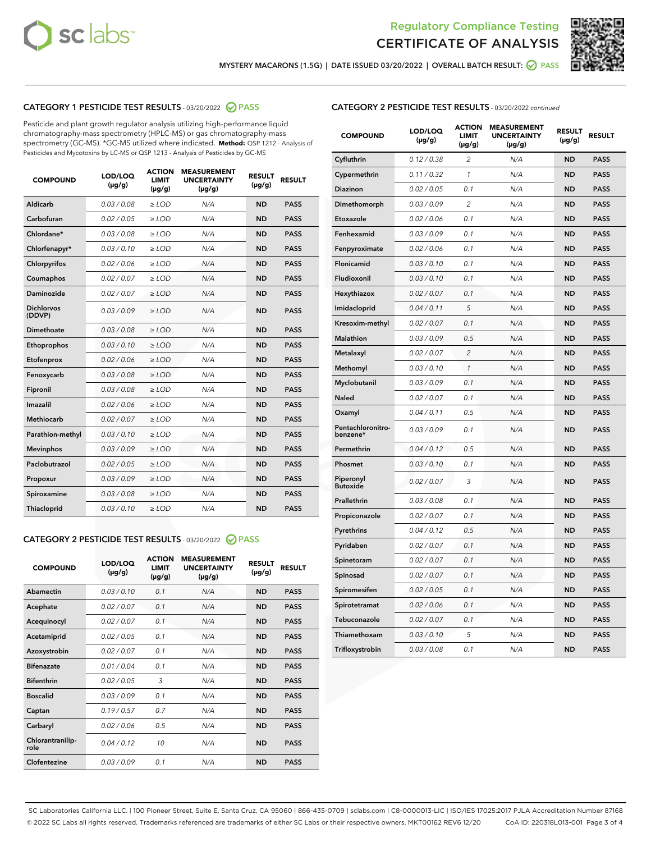



MYSTERY MACARONS (1.5G) | DATE ISSUED 03/20/2022 | OVERALL BATCH RESULT: @ PASS

# CATEGORY 1 PESTICIDE TEST RESULTS - 03/20/2022 2 PASS

Pesticide and plant growth regulator analysis utilizing high-performance liquid chromatography-mass spectrometry (HPLC-MS) or gas chromatography-mass spectrometry (GC-MS). \*GC-MS utilized where indicated. **Method:** QSP 1212 - Analysis of Pesticides and Mycotoxins by LC-MS or QSP 1213 - Analysis of Pesticides by GC-MS

| 0.03 / 0.08<br>Aldicarb<br>$\ge$ LOD<br>N/A<br><b>ND</b><br>Carbofuran<br>0.02/0.05<br>$>$ LOD<br>N/A<br><b>ND</b> | <b>PASS</b><br><b>PASS</b> |
|--------------------------------------------------------------------------------------------------------------------|----------------------------|
|                                                                                                                    |                            |
|                                                                                                                    |                            |
| Chlordane*<br>0.03 / 0.08<br>N/A<br><b>ND</b><br>$\ge$ LOD                                                         | <b>PASS</b>                |
| 0.03/0.10<br><b>ND</b><br>Chlorfenapyr*<br>$\ge$ LOD<br>N/A                                                        | <b>PASS</b>                |
| 0.02/0.06<br>N/A<br><b>ND</b><br>Chlorpyrifos<br>$\ge$ LOD                                                         | <b>PASS</b>                |
| Coumaphos<br>0.02 / 0.07<br>$\geq$ LOD<br>N/A<br><b>ND</b>                                                         | <b>PASS</b>                |
| Daminozide<br>0.02 / 0.07<br>$>$ LOD<br>N/A<br><b>ND</b>                                                           | <b>PASS</b>                |
| <b>Dichlorvos</b><br>0.03 / 0.09<br>N/A<br>$\ge$ LOD<br><b>ND</b><br>(DDVP)                                        | <b>PASS</b>                |
| Dimethoate<br>0.03/0.08<br>N/A<br><b>ND</b><br>$>$ LOD                                                             | <b>PASS</b>                |
| 0.03/0.10<br><b>ND</b><br>Ethoprophos<br>$>$ LOD<br>N/A                                                            | <b>PASS</b>                |
| 0.02 / 0.06<br>N/A<br><b>ND</b><br>Etofenprox<br>$\ge$ LOD                                                         | <b>PASS</b>                |
| 0.03 / 0.08<br>N/A<br><b>ND</b><br>Fenoxycarb<br>$\ge$ LOD                                                         | <b>PASS</b>                |
| 0.03 / 0.08<br>$\ge$ LOD<br>N/A<br><b>ND</b><br>Fipronil                                                           | <b>PASS</b>                |
| Imazalil<br>0.02 / 0.06<br>$>$ LOD<br>N/A<br><b>ND</b>                                                             | <b>PASS</b>                |
| <b>Methiocarb</b><br>0.02 / 0.07<br>$\ge$ LOD<br>N/A<br><b>ND</b>                                                  | <b>PASS</b>                |
| N/A<br><b>ND</b><br>Parathion-methyl<br>0.03/0.10<br>$\ge$ LOD                                                     | <b>PASS</b>                |
| 0.03/0.09<br>$\ge$ LOD<br>N/A<br><b>ND</b><br><b>Mevinphos</b>                                                     | <b>PASS</b>                |
| Paclobutrazol<br>0.02 / 0.05<br>$\ge$ LOD<br>N/A<br><b>ND</b>                                                      | <b>PASS</b>                |
| 0.03/0.09<br>$>$ LOD<br>N/A<br><b>ND</b><br>Propoxur                                                               | <b>PASS</b>                |
| 0.03 / 0.08<br>N/A<br><b>ND</b><br>Spiroxamine<br>$\ge$ LOD                                                        | <b>PASS</b>                |
| <b>ND</b><br>Thiacloprid<br>0.03/0.10<br>$>$ LOD<br>N/A                                                            | <b>PASS</b>                |

## CATEGORY 2 PESTICIDE TEST RESULTS - 03/20/2022 @ PASS

| <b>COMPOUND</b>          | LOD/LOQ<br>$(\mu g/g)$ | <b>ACTION</b><br><b>LIMIT</b><br>$(\mu g/g)$ | <b>MEASUREMENT</b><br><b>UNCERTAINTY</b><br>$(\mu g/g)$ | <b>RESULT</b><br>$(\mu g/g)$ | <b>RESULT</b> |
|--------------------------|------------------------|----------------------------------------------|---------------------------------------------------------|------------------------------|---------------|
| Abamectin                | 0.03/0.10              | 0.1                                          | N/A                                                     | <b>ND</b>                    | <b>PASS</b>   |
| Acephate                 | 0.02/0.07              | 0.1                                          | N/A                                                     | <b>ND</b>                    | <b>PASS</b>   |
| Acequinocyl              | 0.02/0.07              | 0.1                                          | N/A                                                     | <b>ND</b>                    | <b>PASS</b>   |
| Acetamiprid              | 0.02/0.05              | 0.1                                          | N/A                                                     | <b>ND</b>                    | <b>PASS</b>   |
| Azoxystrobin             | 0.02 / 0.07            | 0.1                                          | N/A                                                     | <b>ND</b>                    | <b>PASS</b>   |
| <b>Bifenazate</b>        | 0.01/0.04              | 0.1                                          | N/A                                                     | <b>ND</b>                    | <b>PASS</b>   |
| <b>Bifenthrin</b>        | 0.02 / 0.05            | 3                                            | N/A                                                     | <b>ND</b>                    | <b>PASS</b>   |
| <b>Boscalid</b>          | 0.03/0.09              | 0.1                                          | N/A                                                     | <b>ND</b>                    | <b>PASS</b>   |
| Captan                   | 0.19/0.57              | 0.7                                          | N/A                                                     | <b>ND</b>                    | <b>PASS</b>   |
| Carbaryl                 | 0.02/0.06              | 0.5                                          | N/A                                                     | <b>ND</b>                    | <b>PASS</b>   |
| Chlorantranilip-<br>role | 0.04/0.12              | 10                                           | N/A                                                     | <b>ND</b>                    | <b>PASS</b>   |
| Clofentezine             | 0.03/0.09              | 0.1                                          | N/A                                                     | <b>ND</b>                    | <b>PASS</b>   |

## CATEGORY 2 PESTICIDE TEST RESULTS - 03/20/2022 continued

| <b>COMPOUND</b>               | LOD/LOQ<br>(µg/g) | <b>ACTION</b><br><b>LIMIT</b><br>(µg/g) | <b>MEASUREMENT</b><br><b>UNCERTAINTY</b><br>(µg/g) | <b>RESULT</b><br>(µg/g) | <b>RESULT</b> |
|-------------------------------|-------------------|-----------------------------------------|----------------------------------------------------|-------------------------|---------------|
| Cyfluthrin                    | 0.12 / 0.38       | $\overline{c}$                          | N/A                                                | <b>ND</b>               | <b>PASS</b>   |
| Cypermethrin                  | 0.11/0.32         | $\mathcal{I}$                           | N/A                                                | <b>ND</b>               | <b>PASS</b>   |
| <b>Diazinon</b>               | 0.02 / 0.05       | 0.1                                     | N/A                                                | <b>ND</b>               | <b>PASS</b>   |
| Dimethomorph                  | 0.03 / 0.09       | 2                                       | N/A                                                | ND                      | <b>PASS</b>   |
| Etoxazole                     | 0.02 / 0.06       | 0.1                                     | N/A                                                | <b>ND</b>               | <b>PASS</b>   |
| Fenhexamid                    | 0.03/0.09         | 0.1                                     | N/A                                                | <b>ND</b>               | <b>PASS</b>   |
| Fenpyroximate                 | 0.02 / 0.06       | 0.1                                     | N/A                                                | <b>ND</b>               | <b>PASS</b>   |
| Flonicamid                    | 0.03 / 0.10       | 0.1                                     | N/A                                                | ND                      | <b>PASS</b>   |
| Fludioxonil                   | 0.03 / 0.10       | 0.1                                     | N/A                                                | <b>ND</b>               | <b>PASS</b>   |
| Hexythiazox                   | 0.02 / 0.07       | 0.1                                     | N/A                                                | <b>ND</b>               | <b>PASS</b>   |
| Imidacloprid                  | 0.04 / 0.11       | 5                                       | N/A                                                | <b>ND</b>               | <b>PASS</b>   |
| Kresoxim-methyl               | 0.02 / 0.07       | 0.1                                     | N/A                                                | <b>ND</b>               | <b>PASS</b>   |
| <b>Malathion</b>              | 0.03 / 0.09       | 0.5                                     | N/A                                                | <b>ND</b>               | <b>PASS</b>   |
| Metalaxyl                     | 0.02 / 0.07       | $\overline{c}$                          | N/A                                                | <b>ND</b>               | <b>PASS</b>   |
| Methomyl                      | 0.03 / 0.10       | $\mathcal{I}$                           | N/A                                                | <b>ND</b>               | <b>PASS</b>   |
| Myclobutanil                  | 0.03 / 0.09       | 0.1                                     | N/A                                                | <b>ND</b>               | <b>PASS</b>   |
| Naled                         | 0.02 / 0.07       | 0.1                                     | N/A                                                | <b>ND</b>               | <b>PASS</b>   |
| Oxamyl                        | 0.04 / 0.11       | 0.5                                     | N/A                                                | ND                      | <b>PASS</b>   |
| Pentachloronitro-<br>benzene* | 0.03/0.09         | 0.1                                     | N/A                                                | ND                      | <b>PASS</b>   |
| Permethrin                    | 0.04 / 0.12       | 0.5                                     | N/A                                                | <b>ND</b>               | <b>PASS</b>   |
| Phosmet                       | 0.03 / 0.10       | 0.1                                     | N/A                                                | <b>ND</b>               | <b>PASS</b>   |
| Piperonyl<br><b>Butoxide</b>  | 0.02 / 0.07       | 3                                       | N/A                                                | <b>ND</b>               | <b>PASS</b>   |
| Prallethrin                   | 0.03 / 0.08       | 0.1                                     | N/A                                                | <b>ND</b>               | <b>PASS</b>   |
| Propiconazole                 | 0.02 / 0.07       | 0.1                                     | N/A                                                | <b>ND</b>               | <b>PASS</b>   |
| Pyrethrins                    | 0.04 / 0.12       | 0.5                                     | N/A                                                | <b>ND</b>               | <b>PASS</b>   |
| Pyridaben                     | 0.02 / 0.07       | 0.1                                     | N/A                                                | ND                      | <b>PASS</b>   |
| Spinetoram                    | 0.02 / 0.07       | 0.1                                     | N/A                                                | <b>ND</b>               | <b>PASS</b>   |
| Spinosad                      | 0.02 / 0.07       | 0.1                                     | N/A                                                | <b>ND</b>               | <b>PASS</b>   |
| Spiromesifen                  | 0.02 / 0.05       | 0.1                                     | N/A                                                | <b>ND</b>               | <b>PASS</b>   |
| Spirotetramat                 | 0.02 / 0.06       | 0.1                                     | N/A                                                | ND                      | <b>PASS</b>   |
| Tebuconazole                  | 0.02 / 0.07       | 0.1                                     | N/A                                                | <b>ND</b>               | <b>PASS</b>   |
| Thiamethoxam                  | 0.03 / 0.10       | 5                                       | N/A                                                | <b>ND</b>               | <b>PASS</b>   |
| Trifloxystrobin               | 0.03 / 0.08       | 0.1                                     | N/A                                                | <b>ND</b>               | <b>PASS</b>   |

SC Laboratories California LLC. | 100 Pioneer Street, Suite E, Santa Cruz, CA 95060 | 866-435-0709 | sclabs.com | C8-0000013-LIC | ISO/IES 17025:2017 PJLA Accreditation Number 87168 © 2022 SC Labs all rights reserved. Trademarks referenced are trademarks of either SC Labs or their respective owners. MKT00162 REV6 12/20 CoA ID: 220318L013-001 Page 3 of 4